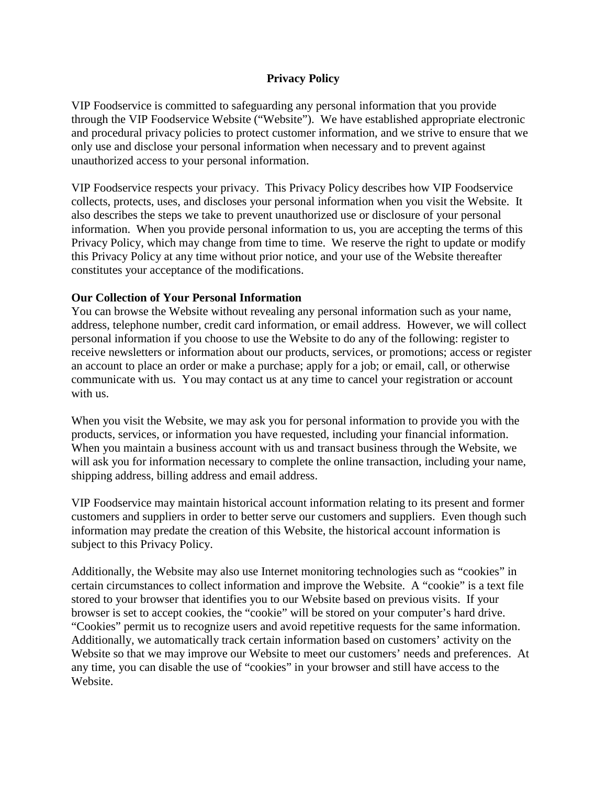# **Privacy Policy**

VIP Foodservice is committed to safeguarding any personal information that you provide through the VIP Foodservice Website ("Website"). We have established appropriate electronic and procedural privacy policies to protect customer information, and we strive to ensure that we only use and disclose your personal information when necessary and to prevent against unauthorized access to your personal information.

VIP Foodservice respects your privacy. This Privacy Policy describes how VIP Foodservice collects, protects, uses, and discloses your personal information when you visit the Website. It also describes the steps we take to prevent unauthorized use or disclosure of your personal information. When you provide personal information to us, you are accepting the terms of this Privacy Policy, which may change from time to time. We reserve the right to update or modify this Privacy Policy at any time without prior notice, and your use of the Website thereafter constitutes your acceptance of the modifications.

# **Our Collection of Your Personal Information**

You can browse the Website without revealing any personal information such as your name, address, telephone number, credit card information, or email address. However, we will collect personal information if you choose to use the Website to do any of the following: register to receive newsletters or information about our products, services, or promotions; access or register an account to place an order or make a purchase; apply for a job; or email, call, or otherwise communicate with us. You may contact us at any time to cancel your registration or account with us.

When you visit the Website, we may ask you for personal information to provide you with the products, services, or information you have requested, including your financial information. When you maintain a business account with us and transact business through the Website, we will ask you for information necessary to complete the online transaction, including your name, shipping address, billing address and email address.

VIP Foodservice may maintain historical account information relating to its present and former customers and suppliers in order to better serve our customers and suppliers. Even though such information may predate the creation of this Website, the historical account information is subject to this Privacy Policy.

Additionally, the Website may also use Internet monitoring technologies such as "cookies" in certain circumstances to collect information and improve the Website. A "cookie" is a text file stored to your browser that identifies you to our Website based on previous visits. If your browser is set to accept cookies, the "cookie" will be stored on your computer's hard drive. "Cookies" permit us to recognize users and avoid repetitive requests for the same information. Additionally, we automatically track certain information based on customers' activity on the Website so that we may improve our Website to meet our customers' needs and preferences. At any time, you can disable the use of "cookies" in your browser and still have access to the Website.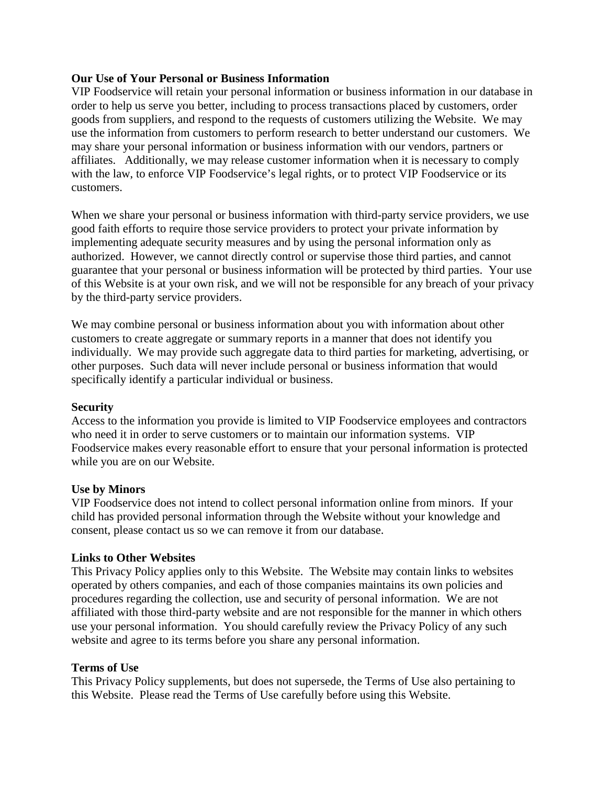# **Our Use of Your Personal or Business Information**

VIP Foodservice will retain your personal information or business information in our database in order to help us serve you better, including to process transactions placed by customers, order goods from suppliers, and respond to the requests of customers utilizing the Website. We may use the information from customers to perform research to better understand our customers. We may share your personal information or business information with our vendors, partners or affiliates. Additionally, we may release customer information when it is necessary to comply with the law, to enforce VIP Foodservice's legal rights, or to protect VIP Foodservice or its customers.

When we share your personal or business information with third-party service providers, we use good faith efforts to require those service providers to protect your private information by implementing adequate security measures and by using the personal information only as authorized. However, we cannot directly control or supervise those third parties, and cannot guarantee that your personal or business information will be protected by third parties. Your use of this Website is at your own risk, and we will not be responsible for any breach of your privacy by the third-party service providers.

We may combine personal or business information about you with information about other customers to create aggregate or summary reports in a manner that does not identify you individually. We may provide such aggregate data to third parties for marketing, advertising, or other purposes. Such data will never include personal or business information that would specifically identify a particular individual or business.

# **Security**

Access to the information you provide is limited to VIP Foodservice employees and contractors who need it in order to serve customers or to maintain our information systems. VIP Foodservice makes every reasonable effort to ensure that your personal information is protected while you are on our Website.

#### **Use by Minors**

VIP Foodservice does not intend to collect personal information online from minors. If your child has provided personal information through the Website without your knowledge and consent, please contact us so we can remove it from our database.

#### **Links to Other Websites**

This Privacy Policy applies only to this Website. The Website may contain links to websites operated by others companies, and each of those companies maintains its own policies and procedures regarding the collection, use and security of personal information. We are not affiliated with those third-party website and are not responsible for the manner in which others use your personal information. You should carefully review the Privacy Policy of any such website and agree to its terms before you share any personal information.

#### **Terms of Use**

This Privacy Policy supplements, but does not supersede, the Terms of Use also pertaining to this Website. Please read the Terms of Use carefully before using this Website.